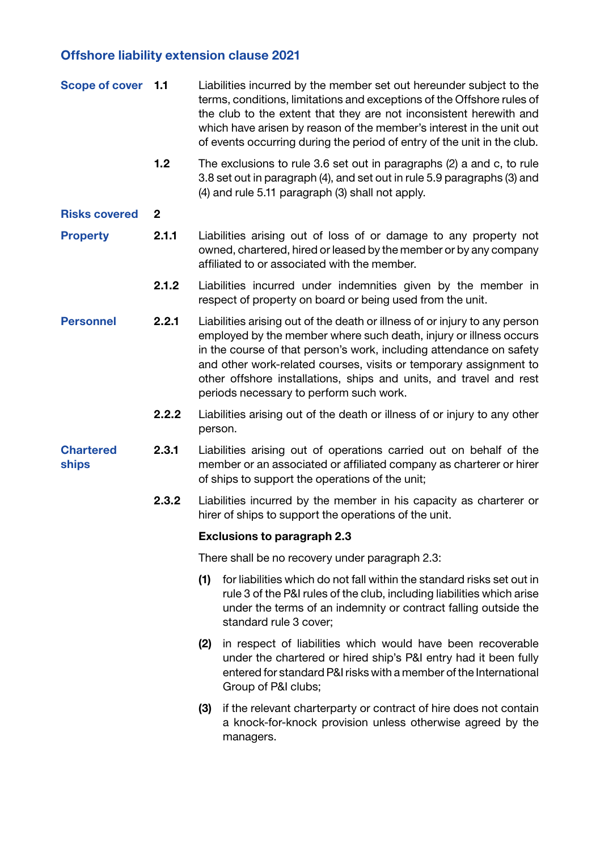## Offshore liability extension clause 2021

| Scope of cover 1.1        |       |                                                                                                                                                                                                                                                                                                                                                                                                              | Liabilities incurred by the member set out hereunder subject to the<br>terms, conditions, limitations and exceptions of the Offshore rules of<br>the club to the extent that they are not inconsistent herewith and<br>which have arisen by reason of the member's interest in the unit out<br>of events occurring during the period of entry of the unit in the club. |  |
|---------------------------|-------|--------------------------------------------------------------------------------------------------------------------------------------------------------------------------------------------------------------------------------------------------------------------------------------------------------------------------------------------------------------------------------------------------------------|------------------------------------------------------------------------------------------------------------------------------------------------------------------------------------------------------------------------------------------------------------------------------------------------------------------------------------------------------------------------|--|
|                           | 1.2   |                                                                                                                                                                                                                                                                                                                                                                                                              | The exclusions to rule 3.6 set out in paragraphs (2) a and c, to rule<br>3.8 set out in paragraph (4), and set out in rule 5.9 paragraphs (3) and<br>(4) and rule 5.11 paragraph (3) shall not apply.                                                                                                                                                                  |  |
| <b>Risks covered</b>      | 2     |                                                                                                                                                                                                                                                                                                                                                                                                              |                                                                                                                                                                                                                                                                                                                                                                        |  |
| <b>Property</b>           | 2.1.1 |                                                                                                                                                                                                                                                                                                                                                                                                              | Liabilities arising out of loss of or damage to any property not<br>owned, chartered, hired or leased by the member or by any company<br>affiliated to or associated with the member.                                                                                                                                                                                  |  |
|                           | 2.1.2 |                                                                                                                                                                                                                                                                                                                                                                                                              | Liabilities incurred under indemnities given by the member in<br>respect of property on board or being used from the unit.                                                                                                                                                                                                                                             |  |
| <b>Personnel</b>          | 2.2.1 | Liabilities arising out of the death or illness of or injury to any person<br>employed by the member where such death, injury or illness occurs<br>in the course of that person's work, including attendance on safety<br>and other work-related courses, visits or temporary assignment to<br>other offshore installations, ships and units, and travel and rest<br>periods necessary to perform such work. |                                                                                                                                                                                                                                                                                                                                                                        |  |
|                           | 2.2.2 | Liabilities arising out of the death or illness of or injury to any other<br>person.                                                                                                                                                                                                                                                                                                                         |                                                                                                                                                                                                                                                                                                                                                                        |  |
| <b>Chartered</b><br>ships | 2.3.1 | Liabilities arising out of operations carried out on behalf of the<br>member or an associated or affiliated company as charterer or hirer<br>of ships to support the operations of the unit;                                                                                                                                                                                                                 |                                                                                                                                                                                                                                                                                                                                                                        |  |
|                           | 2.3.2 | Liabilities incurred by the member in his capacity as charterer or<br>hirer of ships to support the operations of the unit.                                                                                                                                                                                                                                                                                  |                                                                                                                                                                                                                                                                                                                                                                        |  |
|                           |       |                                                                                                                                                                                                                                                                                                                                                                                                              | <b>Exclusions to paragraph 2.3</b>                                                                                                                                                                                                                                                                                                                                     |  |
|                           |       | There shall be no recovery under paragraph 2.3:                                                                                                                                                                                                                                                                                                                                                              |                                                                                                                                                                                                                                                                                                                                                                        |  |
|                           |       | (1)                                                                                                                                                                                                                                                                                                                                                                                                          | for liabilities which do not fall within the standard risks set out in<br>rule 3 of the P&I rules of the club, including liabilities which arise<br>under the terms of an indemnity or contract falling outside the<br>standard rule 3 cover;                                                                                                                          |  |
|                           |       | (2)                                                                                                                                                                                                                                                                                                                                                                                                          | in respect of liabilities which would have been recoverable<br>under the chartered or hired ship's P&I entry had it been fully<br>entered for standard P&I risks with a member of the International<br>Group of P&I clubs;                                                                                                                                             |  |
|                           |       | (3)                                                                                                                                                                                                                                                                                                                                                                                                          | if the relevant charterparty or contract of hire does not contain<br>a knock-for-knock provision unless otherwise agreed by the<br>managers.                                                                                                                                                                                                                           |  |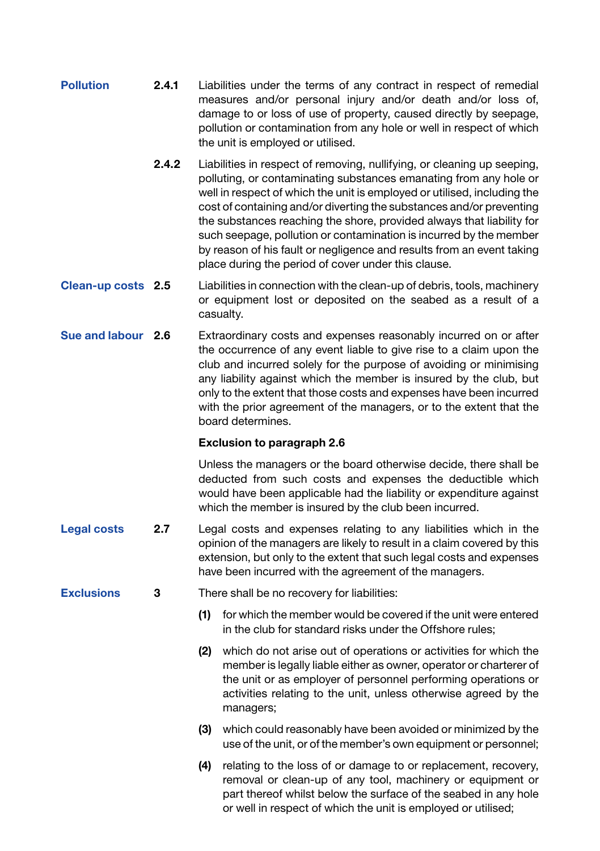- Pollution 2.4.1 Liabilities under the terms of any contract in respect of remedial measures and/or personal injury and/or death and/or loss of, damage to or loss of use of property, caused directly by seepage, pollution or contamination from any hole or well in respect of which the unit is employed or utilised.
	- 2.4.2 Liabilities in respect of removing, nullifying, or cleaning up seeping, polluting, or contaminating substances emanating from any hole or well in respect of which the unit is employed or utilised, including the cost of containing and/or diverting the substances and/or preventing the substances reaching the shore, provided always that liability for such seepage, pollution or contamination is incurred by the member by reason of his fault or negligence and results from an event taking place during the period of cover under this clause.
- Clean-up costs 2.5 Liabilities in connection with the clean-up of debris, tools, machinery or equipment lost or deposited on the seabed as a result of a casualty.
- Sue and labour 2.6 Extraordinary costs and expenses reasonably incurred on or after the occurrence of any event liable to give rise to a claim upon the club and incurred solely for the purpose of avoiding or minimising any liability against which the member is insured by the club, but only to the extent that those costs and expenses have been incurred with the prior agreement of the managers, or to the extent that the board determines.

## Exclusion to paragraph 2.6

Unless the managers or the board otherwise decide, there shall be deducted from such costs and expenses the deductible which would have been applicable had the liability or expenditure against which the member is insured by the club been incurred.

- Legal costs 2.7 Legal costs and expenses relating to any liabilities which in the opinion of the managers are likely to result in a claim covered by this extension, but only to the extent that such legal costs and expenses have been incurred with the agreement of the managers.
- Exclusions 3 There shall be no recovery for liabilities:
	- (1) for which the member would be covered if the unit were entered in the club for standard risks under the Offshore rules;
	- (2) which do not arise out of operations or activities for which the member is legally liable either as owner, operator or charterer of the unit or as employer of personnel performing operations or activities relating to the unit, unless otherwise agreed by the managers;
	- (3) which could reasonably have been avoided or minimized by the use of the unit, or of the member's own equipment or personnel;
	- (4) relating to the loss of or damage to or replacement, recovery, removal or clean-up of any tool, machinery or equipment or part thereof whilst below the surface of the seabed in any hole or well in respect of which the unit is employed or utilised;